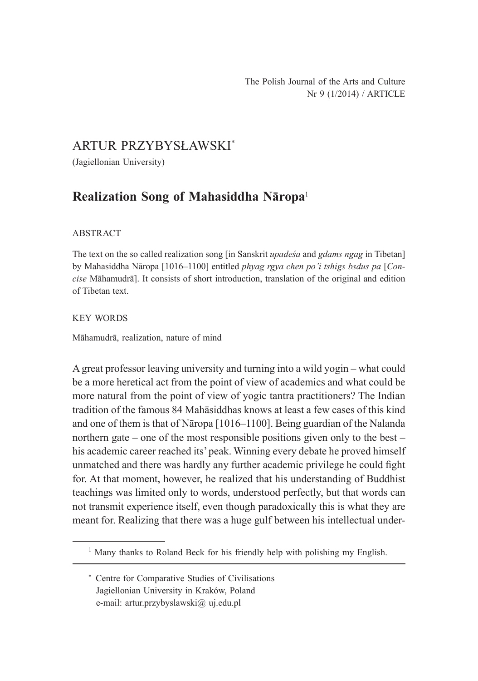## ARTUR PRZYBYSŁAWSKI\*

(Jagiellonian University)

# **Realization Song of Mahasiddha Nāropa**<sup>1</sup>

### ABSTRACT

The text on the so called realization song [in Sanskrit *upadeśa* and *gdams ngag* in Tibetan] by Mahasiddha Nāropa [1016‒1100] entitled *phyag rgya chen po'i tshigs bsdus pa* [*Concise* Māhamudrā]. It consists of short introduction, translation of the original and edition of Tibetan text.

### KEY WORDS

Māhamudrā, realization, nature of mind

A great professor leaving university and turning into a wild yogin – what could be a more heretical act from the point of view of academics and what could be more natural from the point of view of yogic tantra practitioners? The Indian tradition of the famous 84 Mahāsiddhas knows at least a few cases of this kind and one of them is that of Nāropa [1016–1100]. Being guardian of the Nalanda northern gate  $-$  one of the most responsible positions given only to the best  $$ his academic career reached its' peak. Winning every debate he proved himself unmatched and there was hardly any further academic privilege he could fight for. At that moment, however, he realized that his understanding of Buddhist teachings was limited only to words, understood perfectly, but that words can not transmit experience itself, even though paradoxically this is what they are meant for. Realizing that there was a huge gulf between his intellectual under-

<sup>&</sup>lt;sup>1</sup> Many thanks to Roland Beck for his friendly help with polishing my English.

<sup>\*</sup> Centre for Comparative Studies of Civilisations Jagiellonian University in Kraków, Poland e-mail: artur.przybyslawski@ uj.edu.pl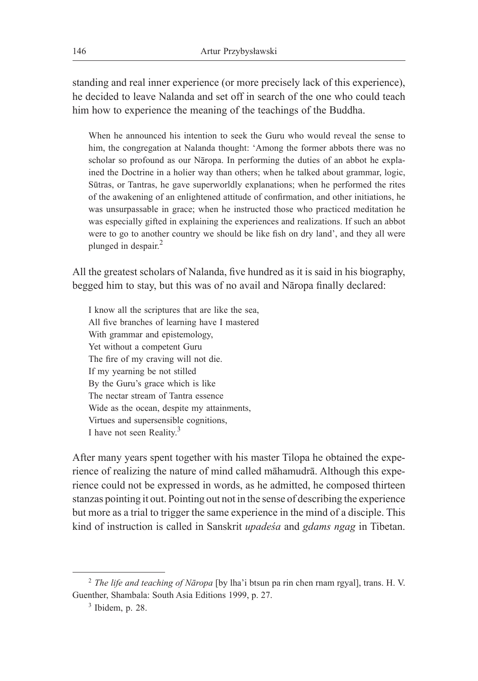standing and real inner experience (or more precisely lack of this experience), he decided to leave Nalanda and set off in search of the one who could teach him how to experience the meaning of the teachings of the Buddha.

When he announced his intention to seek the Guru who would reveal the sense to him, the congregation at Nalanda thought: ʻAmong the former abbots there was no scholar so profound as our Nāropa. In performing the duties of an abbot he explained the Doctrine in a holier way than others; when he talked about grammar, logic, Sūtras, or Tantras, he gave superworldly explanations; when he performed the rites of the awakening of an enlightened attitude of confirmation, and other initiations, he was unsurpassable in grace; when he instructed those who practiced meditation he was especially gifted in explaining the experiences and realizations. If such an abbot were to go to another country we should be like fish on dry land', and they all were plunged in despair.<sup>2</sup>

All the greatest scholars of Nalanda, five hundred as it is said in his biography, begged him to stay, but this was of no avail and Nāropa finally declared:

I know all the scriptures that are like the sea, All five branches of learning have I mastered With grammar and epistemology, Yet without a competent Guru The fire of my craving will not die. If my yearning be not stilled By the Guru's grace which is like The nectar stream of Tantra essence Wide as the ocean, despite my attainments, Virtues and supersensible cognitions, I have not seen Reality. $3$ 

After many years spent together with his master Tilopa he obtained the experience of realizing the nature of mind called māhamudrā. Although this experience could not be expressed in words, as he admitted, he composed thirteen stanzas pointing it out. Pointing out not in the sense of describing the experience but more as a trial to trigger the same experience in the mind of a disciple. This kind of instruction is called in Sanskrit *upadeśa* and *gdams ngag* in Tibetan.

<sup>2</sup> *The life and teaching of Nāropa* [by lha'i btsun pa rin chen rnam rgyal], trans. H. V. Guenther, Shambala: South Asia Editions 1999, p. 27.

 $3$  Ibidem, p. 28.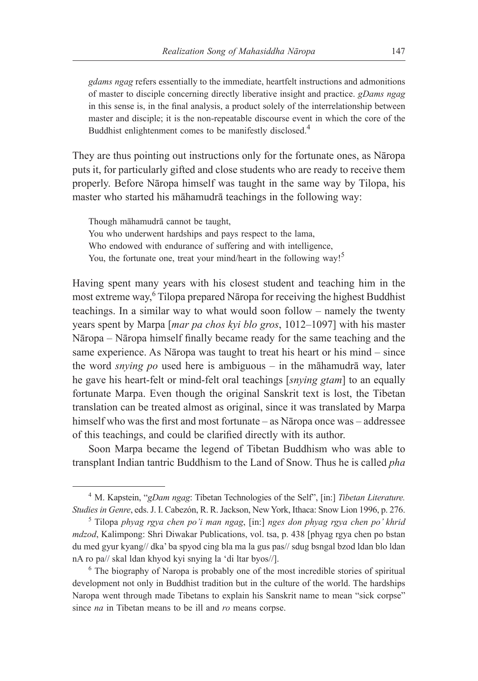*gdams ngag* refers essentially to the immediate, heartfelt instructions and admonitions of master to disciple concerning directly liberative insight and practice. *gDams ngag*  in this sense is, in the final analysis, a product solely of the interrelationship between master and disciple; it is the non-repeatable discourse event in which the core of the Buddhist enlightenment comes to be manifestly disclosed.<sup>4</sup>

They are thus pointing out instructions only for the fortunate ones, as Nāropa puts it, for particularly gifted and close students who are ready to receive them properly. Before Nāropa himself was taught in the same way by Tilopa, his master who started his māhamudrā teachings in the following way:

Though māhamudrā cannot be taught, You who underwent hardships and pays respect to the lama, Who endowed with endurance of suffering and with intelligence, You, the fortunate one, treat your mind/heart in the following way!<sup>5</sup>

Having spent many years with his closest student and teaching him in the most extreme way,<sup>6</sup> Tilopa prepared Nāropa for receiving the highest Buddhist teachings. In a similar way to what would soon follow – namely the twenty years spent by Marpa [*mar pa chos kyi blo gros*, 1012–1097] with his master Nāropa – Nāropa himself finally became ready for the same teaching and the same experience. As Nāropa was taught to treat his heart or his mind – since the word *snying po* used here is ambiguous – in the māhamudrā way, later he gave his heart-felt or mind-felt oral teachings [*snying gtam*] to an equally fortunate Marpa. Even though the original Sanskrit text is lost, the Tibetan translation can be treated almost as original, since it was translated by Marpa himself who was the first and most fortunate – as Nāropa once was – addressee of this teachings, and could be clarified directly with its author.

Soon Marpa became the legend of Tibetan Buddhism who was able to transplant Indian tantric Buddhism to the Land of Snow. Thus he is called *pha* 

<sup>4</sup> M. Kapstein, "*gDam ngag*: Tibetan Technologies of the Self", [in:] *Tibetan Literature. Studies in Genre*, eds. J. I. Cabezón, R. R. Jackson, New York, Ithaca: Snow Lion 1996, p. 276.

<sup>5</sup> Tilopa *phyag rgya chen po'i man ngag*, [in:] *nges don phyag rgya chen po' khrid mdzod*, Kalimpong: Shri Diwakar Publications, vol. tsa, p. 438 [phyag rgya chen po bstan du med gyur kyang// dka' ba spyod cing bla ma la gus pas// sdug bsngal bzod ldan blo ldan nA ro pa// skal ldan khyod kyi snying la 'di ltar byos//].

<sup>&</sup>lt;sup>6</sup> The biography of Naropa is probably one of the most incredible stories of spiritual development not only in Buddhist tradition but in the culture of the world. The hardships Naropa went through made Tibetans to explain his Sanskrit name to mean "sick corpse" since *na* in Tibetan means to be ill and *ro* means corpse.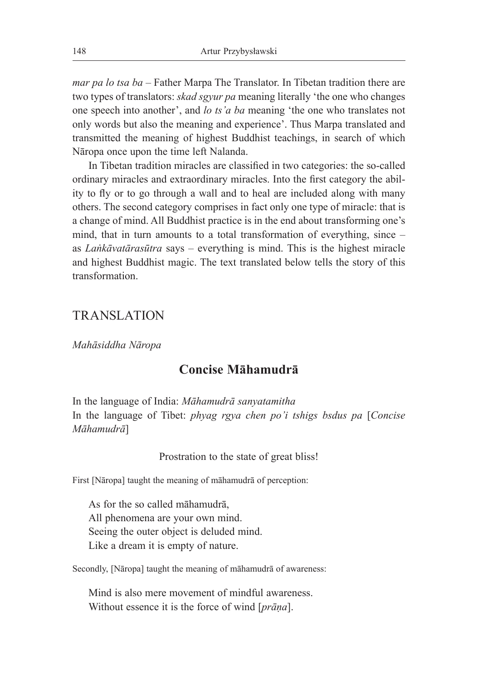*mar pa lo tsa ba* – Father Marpa The Translator. In Tibetan tradition there are two types of translators: *skad sgyur pa* meaning literally ʻthe one who changes one speech into another', and *lo ts'a ba* meaning ʻthe one who translates not only words but also the meaning and experience'. Thus Marpa translated and transmitted the meaning of highest Buddhist teachings, in search of which Nāropa once upon the time left Nalanda.

In Tibetan tradition miracles are classified in two categories: the so-called ordinary miracles and extraordinary miracles. Into the first category the ability to fly or to go through a wall and to heal are included along with many others. The second category comprises in fact only one type of miracle: that is a change of mind. All Buddhist practice is in the end about transforming one's mind, that in turn amounts to a total transformation of everything, since  $$ as *Lankāvatārasūtra* says – everything is mind. This is the highest miracle and highest Buddhist magic. The text translated below tells the story of this transformation.

## TRANSLATION

*Mahāsiddha Nāropa*

# **Concise Māhamudrā**

In the language of India: *Māhamudrā sanyatamitha* In the language of Tibet: *phyag rgya chen po'i tshigs bsdus pa* [*Concise Māhamudrā*]

#### Prostration to the state of great bliss!

First [Nāropa] taught the meaning of māhamudrā of perception:

As for the so called māhamudrā, All phenomena are your own mind. Seeing the outer object is deluded mind. Like a dream it is empty of nature.

Secondly, [Nāropa] taught the meaning of māhamudrā of awareness:

Mind is also mere movement of mindful awareness. Without essence it is the force of wind [*prāṇa*].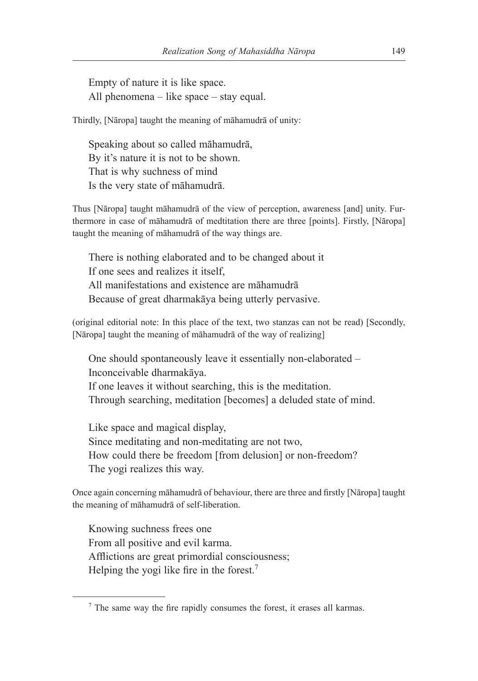Empty of nature it is like space. All phenomena  $-$  like space  $-$  stay equal.

Thirdly, [Nāropa] taught the meaning of māhamudrā of unity:

Speaking about so called māhamudrā, By it's nature it is not to be shown. That is why suchness of mind Is the very state of māhamudrā.

Thus [Nāropa] taught māhamudrā of the view of perception, awareness [and] unity. Furthermore in case of māhamudrā of medtitation there are three [points]. Firstly, [Nāropa] taught the meaning of māhamudrā of the way things are.

There is nothing elaborated and to be changed about it If one sees and realizes it itself, All manifestations and existence are māhamudrā Because of great dharmakāya being utterly pervasive.

(original editorial note: In this place of the text, two stanzas can not be read) [Secondly, [Nāropa] taught the meaning of māhamudrā of the way of realizing]

One should spontaneously leave it essentially non-elaborated – Inconceivable dharmakāya. If one leaves it without searching, this is the meditation. Through searching, meditation [becomes] a deluded state of mind.

Like space and magical display, Since meditating and non-meditating are not two, How could there be freedom [from delusion] or non-freedom? The yogi realizes this way.

Once again concerning māhamudrā of behaviour, there are three and firstly [Nāropa] taught the meaning of māhamudrā of self-liberation.

Knowing suchness frees one From all positive and evil karma. Afflictions are great primordial consciousness; Helping the yogi like fire in the forest.<sup>7</sup>

<sup>&</sup>lt;sup>7</sup> The same way the fire rapidly consumes the forest, it erases all karmas.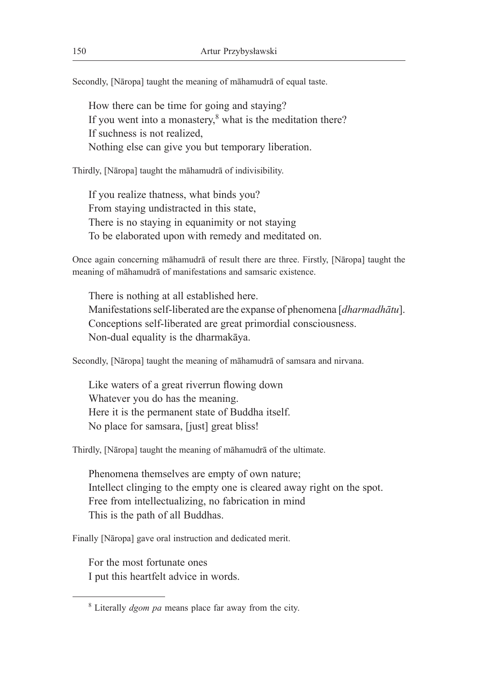Secondly, [Nāropa] taught the meaning of māhamudrā of equal taste.

How there can be time for going and staying? If you went into a monastery,<sup>8</sup> what is the meditation there? If suchness is not realized, Nothing else can give you but temporary liberation.

Thirdly, [Nāropa] taught the māhamudrā of indivisibility.

If you realize thatness, what binds you? From staying undistracted in this state, There is no staying in equanimity or not staying To be elaborated upon with remedy and meditated on.

Once again concerning māhamudrā of result there are three. Firstly, [Nāropa] taught the meaning of māhamudrā of manifestations and samsaric existence.

There is nothing at all established here. Manifestations self-liberated are the expanse of phenomena [*dharmadhātu*]. Conceptions self-liberated are great primordial consciousness. Non-dual equality is the dharmakāya.

Secondly, [Nāropa] taught the meaning of māhamudrā of samsara and nirvana.

Like waters of a great riverrun flowing down Whatever you do has the meaning. Here it is the permanent state of Buddha itself. No place for samsara, [just] great bliss!

Thirdly, [Nāropa] taught the meaning of māhamudrā of the ultimate.

Phenomena themselves are empty of own nature; Intellect clinging to the empty one is cleared away right on the spot. Free from intellectualizing, no fabrication in mind This is the path of all Buddhas.

Finally [Nāropa] gave oral instruction and dedicated merit.

For the most fortunate ones I put this heartfelt advice in words.

<sup>8</sup> Literally *dgom pa* means place far away from the city.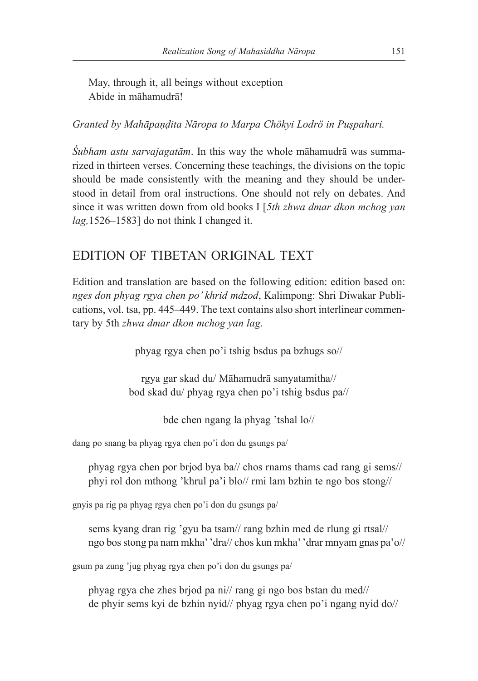May, through it, all beings without exception Abide in māhamudrā!

*Granted by Mahāpaṇḍita Nāropa to Marpa Chökyi Lodrö in Puṣpahari.*

*Śubham astu sarvajagatām*. In this way the whole māhamudrā was summarized in thirteen verses. Concerning these teachings, the divisions on the topic should be made consistently with the meaning and they should be understood in detail from oral instructions. One should not rely on debates. And since it was written down from old books I [*5th zhwa dmar dkon mchog yan lag*, 1526–1583] do not think I changed it.

# EDITION OF TIBETAN ORIGINAL TEXT

Edition and translation are based on the following edition: edition based on: *nges don phyag rgya chen po' khrid mdzod*, Kalimpong: Shri Diwakar Publications, vol. tsa, pp. 445–449. The text contains also short interlinear commentary by 5th *zhwa dmar dkon mchog yan lag*.

phyag rgya chen po'i tshig bsdus pa bzhugs so//

rgya gar skad du/ Māhamudrā sanyatamitha// bod skad du/ phyag rgya chen po'i tshig bsdus pa//

bde chen ngang la phyag 'tshal lo//

dang po snang ba phyag rgya chen po'i don du gsungs pa/

phyag rgya chen por brjod bya ba// chos rnams thams cad rang gi sems// phyi rol don mthong 'khrul pa'i blo// rmi lam bzhin te ngo bos stong//

gnyis pa rig pa phyag rgya chen po'i don du gsungs pa/

sems kyang dran rig 'gyu ba tsam// rang bzhin med de rlung gi rtsal// ngo bos stong pa nam mkha' 'dra// chos kun mkha' 'drar mnyam gnas pa'o//

gsum pa zung 'jug phyag rgya chen po'i don du gsungs pa/

phyag rgya che zhes brjod pa ni// rang gi ngo bos bstan du med// de phyir sems kyi de bzhin nyid// phyag rgya chen po'i ngang nyid do//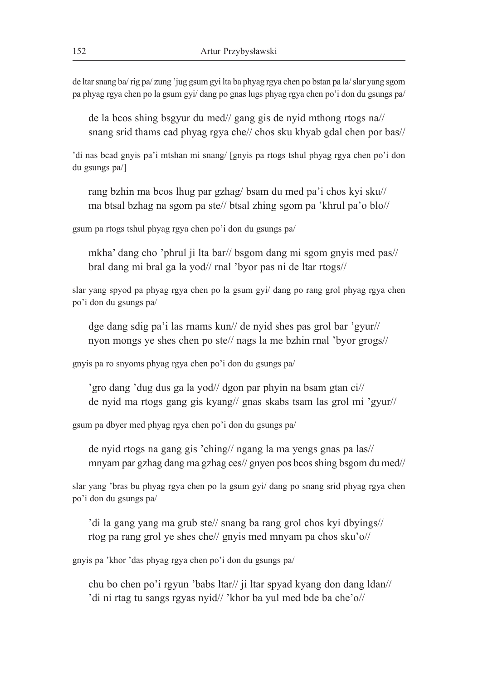de ltar snang ba/ rig pa/ zung 'jug gsum gyi lta ba phyag rgya chen po bstan pa la/ slar yang sgom pa phyag rgya chen po la gsum gyi/ dang po gnas lugs phyag rgya chen po'i don du gsungs pa/

de la bcos shing bsgyur du med// gang gis de nyid mthong rtogs na// snang srid thams cad phyag rgya che// chos sku khyab gdal chen por bas//

'di nas bcad gnyis pa'i mtshan mi snang/ [gnyis pa rtogs tshul phyag rgya chen po'i don du gsungs pa/]

rang bzhin ma bcos lhug par gzhag/ bsam du med pa'i chos kyi sku// ma btsal bzhag na sgom pa ste// btsal zhing sgom pa 'khrul pa'o blo//

gsum pa rtogs tshul phyag rgya chen po'i don du gsungs pa/

mkha' dang cho 'phrul ji lta bar// bsgom dang mi sgom gnyis med pas// bral dang mi bral ga la yod// rnal 'byor pas ni de ltar rtogs//

slar yang spyod pa phyag rgya chen po la gsum gyi/ dang po rang grol phyag rgya chen po'i don du gsungs pa/

dge dang sdig pa'i las rnams kun// de nyid shes pas grol bar 'gyur// nyon mongs ye shes chen po ste// nags la me bzhin rnal 'byor grogs//

gnyis pa ro snyoms phyag rgya chen po'i don du gsungs pa/

'gro dang 'dug dus ga la yod// dgon par phyin na bsam gtan ci// de nyid ma rtogs gang gis kyang// gnas skabs tsam las grol mi 'gyur//

gsum pa dbyer med phyag rgya chen po'i don du gsungs pa/

de nyid rtogs na gang gis 'ching// ngang la ma yengs gnas pa las// mnyam par gzhag dang ma gzhag ces// gnyen pos bcos shing bsgom du med//

slar yang 'bras bu phyag rgya chen po la gsum gyi/ dang po snang srid phyag rgya chen po'i don du gsungs pa/

'di la gang yang ma grub ste// snang ba rang grol chos kyi dbyings// rtog pa rang grol ye shes che// gnyis med mnyam pa chos sku'o//

gnyis pa 'khor 'das phyag rgya chen po'i don du gsungs pa/

chu bo chen po'i rgyun 'babs ltar// ji ltar spyad kyang don dang ldan// 'di ni rtag tu sangs rgyas nyid// 'khor ba yul med bde ba che'o//